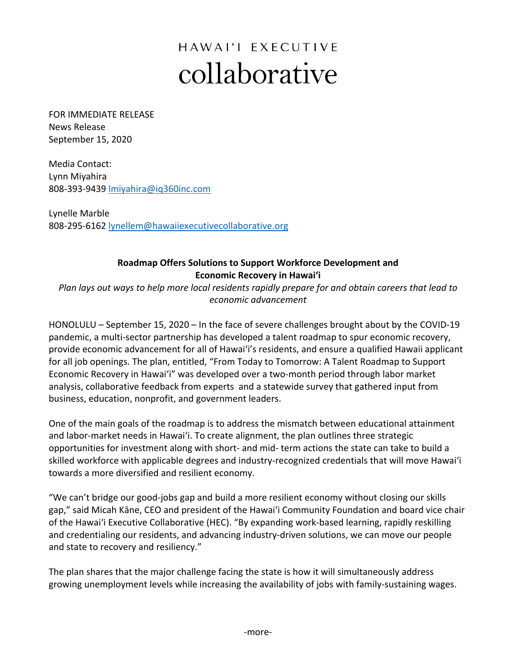## HAWAI'I EXECUTIVE collaborative

FOR IMMEDIATE RELEASE News Release September 15, 2020

Media Contact: Lynn Miyahira 808-393-9439 lmiyahira@iq360inc.com

Lynelle Marble 808-295-6162 lynellem@hawaiiexecutivecollaborative.org

## **Roadmap Offers Solutions to Support Workforce Development and Economic Recovery in Hawaiʻi**

*Plan lays out ways to help more local residents rapidly prepare for and obtain careers that lead to economic advancement*

HONOLULU – September 15, 2020 – In the face of severe challenges brought about by the COVID-19 pandemic, a multi-sector partnership has developed a talent roadmap to spur economic recovery, provide economic advancement for all of Hawai'i's residents, and ensure a qualified Hawaii applicant for all job openings. The plan, entitled, "From Today to Tomorrow: A Talent Roadmap to Support Economic Recovery in Hawaiʻi" was developed over a two-month period through labor market analysis, collaborative feedback from experts and a statewide survey that gathered input from business, education, nonprofit, and government leaders.

One of the main goals of the roadmap is to address the mismatch between educational attainment and labor-market needs in Hawaiʻi. To create alignment, the plan outlines three strategic opportunities for investment along with short- and mid- term actions the state can take to build a skilled workforce with applicable degrees and industry-recognized credentials that will move Hawaiʻi towards a more diversified and resilient economy.

"We can't bridge our good-jobs gap and build a more resilient economy without closing our skills gap," said Micah Kāne, CEO and president of the Hawai'i Community Foundation and board vice chair of the Hawai'i Executive Collaborative (HEC). "By expanding work-based learning, rapidly reskilling and credentialing our residents, and advancing industry-driven solutions, we can move our people and state to recovery and resiliency."

The plan shares that the major challenge facing the state is how it will simultaneously address growing unemployment levels while increasing the availability of jobs with family-sustaining wages.